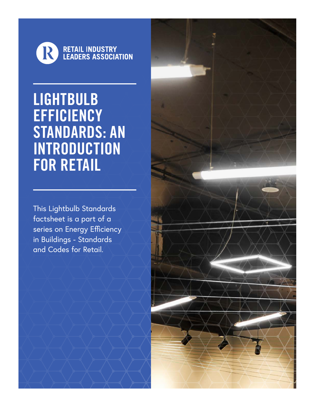

LIGHTBULB **EFFICIENCY** STANDARDS: AN INTRODUCTION FOR RETAIL

This Lightbulb Standards factsheet is a part of a series on Energy Efficiency in Buildings - Standards and Codes for Retail.

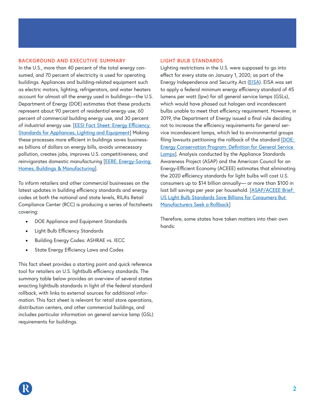## **BACKGROUND AND EXECUTIVE SUMMARY**

In the U.S., more than 40 percent of the total energy consumed, and 70 percent of electricity is used for operating buildings. Appliances and building-related equipment such as electric motors, lighting, refrigerators, and water heaters account for almost all the energy used in buildings—the U.S. Department of Energy (DOE) estimates that these products represent about 90 percent of residential energy use, 60 percent of commercial building energy use, and 30 percent of industrial energy use. [EESI Fact Sheet: Energy Efficiency [Standards for Appliances, Lighting and Equipment](https://www.eesi.org/papers/view/fact-sheet-energy-efficiency-standards-for-appliances-lighting-and-equipmen)] Making these processes more efficient in buildings saves businesses billions of dollars on energy bills, avoids unnecessary pollution, creates jobs, improves U.S. competitiveness, and reinvigorates domestic manufacturing [[EERE: Energy-Saving](https://www.energy.gov/sites/prod/files/2013/11/f4/55297.pdf)  [Homes, Buildings & Manufacturing](https://www.energy.gov/sites/prod/files/2013/11/f4/55297.pdf)].

To inform retailers and other commercial businesses on the latest updates in building efficiency standards and energy codes at both the national and state levels, RILA's Retail Compliance Center (RCC) is producing a series of factsheets covering:

- DOE Appliance and Equipment Standards
- Light Bulb Efficiency Standards
- Building Energy Codes: ASHRAE vs. IECC
- State Energy Efficiency Laws and Codes

This fact sheet provides a starting point and quick reference tool for retailers on U.S. lightbulb efficiency standards. The summary table below provides an overview of several states enacting lightbulb standards in light of the federal standard rollback, with links to external sources for additional information. This fact sheet is relevant for retail store operations, distribution centers, and other commercial buildings, and includes particular information on general service lamp (GSL) requirements for buildings.

## **LIGHT BULB STANDARDS**

Lighting restrictions in the U.S. were supposed to go into effect for every state on January 1, 2020, as part of the Energy Independence and Security Act [\(EISA](https://www.epa.gov/laws-regulations/summary-energy-independence-and-security-act)). EISA was set to apply a federal minimum energy efficiency standard of 45 lumens per watt (lpw) for all general service lamps (GSLs), which would have phased out halogen and incandescent bulbs unable to meet that efficiency requirement. However, in 2019, the Department of Energy issued a final rule deciding not to increase the efficiency requirements for general service incandescent lamps, which led to environmental groups filing lawsuits petitioning the rollback of the standard [[DOE:](https://s3.amazonaws.com/public-inspection.federalregister.gov/2019-18940.pdf)  [Energy Conservation Program: Definition for General Service](https://s3.amazonaws.com/public-inspection.federalregister.gov/2019-18940.pdf)  [Lamps](https://s3.amazonaws.com/public-inspection.federalregister.gov/2019-18940.pdf)]. Analysis conducted by the Appliance Standards Awareness Project (ASAP) and the American Council for an Energy-Efficient Economy (ACEEE) estimates that eliminating the 2020 efficiency standards for light bulbs will cost U.S. consumers up to \$14 billion annually— or more than \$100 in lost bill savings per year per household. [[ASAP/ACEEE Brief:](https://www.aceee.org/press/2019/09/doe-s-light-bulb-standards-rollback)  [US Light Bulb Standards Save Billions for Consumers But](https://www.aceee.org/press/2019/09/doe-s-light-bulb-standards-rollback)  [Manufacturers Seek a Rollback](https://www.aceee.org/press/2019/09/doe-s-light-bulb-standards-rollback)]

Therefore, some states have taken matters into their own hands: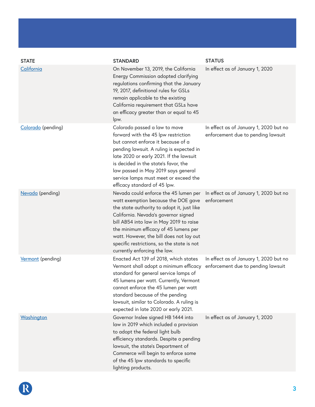| <b>STATE</b>       | <b>STANDARD</b>                                                                                                                                                                                                                                                                                                                                                                  | <b>STATUS</b>                                                                |
|--------------------|----------------------------------------------------------------------------------------------------------------------------------------------------------------------------------------------------------------------------------------------------------------------------------------------------------------------------------------------------------------------------------|------------------------------------------------------------------------------|
| California         | On November 13, 2019, the California<br>Energy Commission adopted clarifying<br>regulations confirming that the January<br>19, 2017, definitional rules for GSLs<br>remain applicable to the existing<br>California requirement that GSLs have<br>an efficacy greater than or equal to 45<br>lpw.                                                                                | In effect as of January 1, 2020                                              |
| Colorado (pending) | Colorado passed a law to move<br>forward with the 45 lpw restriction<br>but cannot enforce it because of a<br>pending lawsuit. A ruling is expected in<br>late 2020 or early 2021. If the lawsuit<br>is decided in the state's favor, the<br>law passed in May 2019 says general<br>service lamps must meet or exceed the<br>efficacy standard of 45 lpw.                        | In effect as of January 1, 2020 but no<br>enforcement due to pending lawsuit |
| Nevada (pending)   | Nevada could enforce the 45 lumen per<br>watt exemption because the DOE gave<br>the state authority to adopt it, just like<br>California. Nevada's governor signed<br>bill AB54 into law in May 2019 to raise<br>the minimum efficacy of 45 lumens per<br>watt. However, the bill does not lay out<br>specific restrictions, so the state is not<br>currently enforcing the law. | In effect as of January 1, 2020 but no<br>enforcement                        |
| Vermont (pending)  | Enacted Act 139 of 2018, which states<br>Vermont shall adopt a minimum efficacy<br>standard for general service lamps of<br>45 lumens per watt. Currently, Vermont<br>cannot enforce the 45 lumen per watt<br>standard because of the pending<br>lawsuit, similar to Colorado. A ruling is<br>expected in late 2020 or early 2021.                                               | In effect as of January 1, 2020 but no<br>enforcement due to pending lawsuit |
| Washington         | Governor Inslee signed HB 1444 into<br>law in 2019 which included a provision<br>to adopt the federal light bulb<br>efficiency standards. Despite a pending<br>lawsuit, the state's Department of<br>Commerce will begin to enforce some<br>of the 45 lpw standards to specific<br>lighting products.                                                                            | In effect as of January 1, 2020                                              |